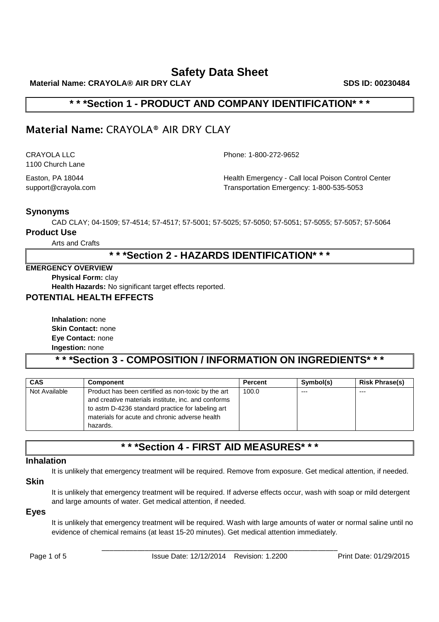**Material Name: CRAYOLA® AIR DRY CLAY SDS ID: 00230484 SDS ID: 00230484** 

### **\* \* \*Section 1 - PRODUCT AND COMPANY IDENTIFICATION\* \* \***

# **Material Name:** CRAYOLA® AIR DRY CLAY

1100 Church Lane

CRAYOLA LLC Phone: 1-800-272-9652

Easton, PA 18044 **Health Emergency - Call local Poison Control Center** support@crayola.com Transportation Emergency: 1-800-535-5053

### **Synonyms**

CAD CLAY; 04-1509; 57-4514; 57-4517; 57-5001; 57-5025; 57-5050; 57-5051; 57-5055; 57-5057; 57-5064

#### **Product Use**

Arts and Crafts

### **\* \* \*Section 2 - HAZARDS IDENTIFICATION\* \* \***

#### **EMERGENCY OVERVIEW**

**Physical Form:** clay

**Health Hazards:** No significant target effects reported.

### **POTENTIAL HEALTH EFFECTS**

**Inhalation:** none **Skin Contact:** none **Eye Contact:** none **Ingestion:** none

# **\* \* \*Section 3 - COMPOSITION / INFORMATION ON INGREDIENTS\* \* \***

| <b>CAS</b>    | <b>Component</b>                                                                                                                                                                                                             | <b>Percent</b> | Symbol(s) | <b>Risk Phrase(s)</b> |
|---------------|------------------------------------------------------------------------------------------------------------------------------------------------------------------------------------------------------------------------------|----------------|-----------|-----------------------|
| Not Available | Product has been certified as non-toxic by the art<br>and creative materials institute, inc. and conforms<br>to astm D-4236 standard practice for labeling art<br>materials for acute and chronic adverse health<br>hazards. | 100.0          | $---$     | $--$                  |

# **\* \* \*Section 4 - FIRST AID MEASURES\* \* \***

#### **Inhalation**

It is unlikely that emergency treatment will be required. Remove from exposure. Get medical attention, if needed.

### **Skin**

It is unlikely that emergency treatment will be required. If adverse effects occur, wash with soap or mild detergent and large amounts of water. Get medical attention, if needed.

#### **Eyes**

It is unlikely that emergency treatment will be required. Wash with large amounts of water or normal saline until no evidence of chemical remains (at least 15-20 minutes). Get medical attention immediately.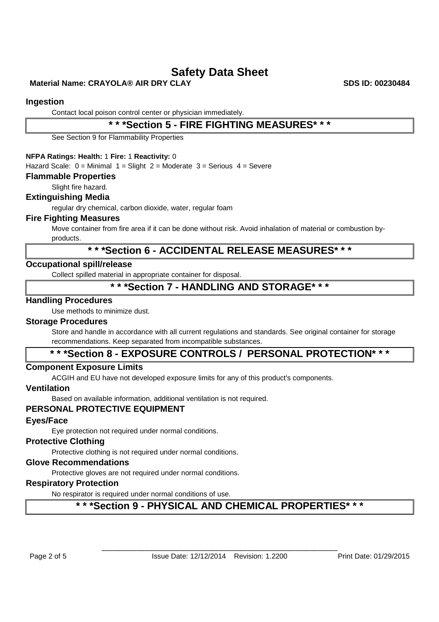### **Material Name: CRAYOLA® AIR DRY CLAY SDS ID: 00230484**

#### **Ingestion**

Contact local poison control center or physician immediately.

### **\* \* \*Section 5 - FIRE FIGHTING MEASURES\* \* \***

See Section 9 for Flammability Properties

#### **NFPA Ratings: Health:** 1 **Fire:** 1 **Reactivity:** 0

Hazard Scale:  $0 =$  Minimal  $1 =$  Slight  $2 =$  Moderate  $3 =$  Serious  $4 =$  Severe

#### **Flammable Properties**

Slight fire hazard.

#### **Extinguishing Media**

regular dry chemical, carbon dioxide, water, regular foam

#### **Fire Fighting Measures**

Move container from fire area if it can be done without risk. Avoid inhalation of material or combustion byproducts.

### **\* \* \*Section 6 - ACCIDENTAL RELEASE MEASURES\* \* \***

#### **Occupational spill/release**

Collect spilled material in appropriate container for disposal.

### **\* \* \*Section 7 - HANDLING AND STORAGE\* \* \***

#### **Handling Procedures**

Use methods to minimize dust.

#### **Storage Procedures**

Store and handle in accordance with all current regulations and standards. See original container for storage recommendations. Keep separated from incompatible substances.

### **\* \* \*Section 8 - EXPOSURE CONTROLS / PERSONAL PROTECTION\* \* \***

#### **Component Exposure Limits**

ACGIH and EU have not developed exposure limits for any of this product's components.

#### **Ventilation**

Based on available information, additional ventilation is not required.

#### **PERSONAL PROTECTIVE EQUIPMENT**

#### **Eyes/Face**

Eye protection not required under normal conditions.

#### **Protective Clothing**

Protective clothing is not required under normal conditions.

#### **Glove Recommendations**

Protective gloves are not required under normal conditions.

#### **Respiratory Protection**

No respirator is required under normal conditions of use.

### **\* \* \*Section 9 - PHYSICAL AND CHEMICAL PROPERTIES\* \* \***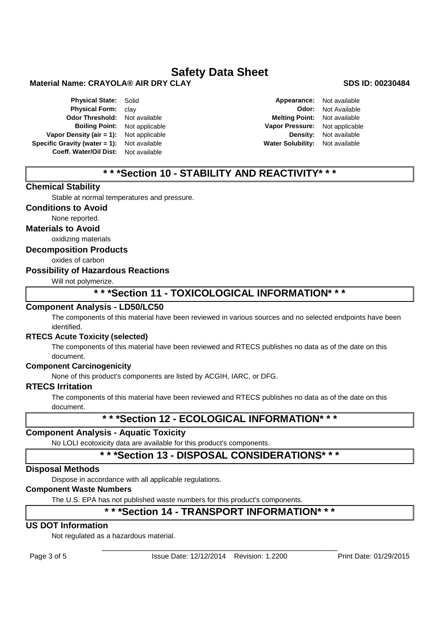#### **Material Name: CRAYOLA® AIR DRY CLAY SDS ID: 00230484**

**Physical State:** Solid **Appearance:** Not available **Physical Form:** clay **Appearance:** Not available **Physical Form:** clay **Physical Form:** clay **Odor Threshold:** Not available **Melting Point:** Not available **Vapor Density (air = 1):** Not applicable **Density:** Not available **Specific Gravity (water = 1):** Not available **Water Solubility:** Not available **Coeff. Water/Oil Dist:** Not available

**Boiling Point:** Not applicable **Vapor Pressure:** Not applicable

### **\* \* \*Section 10 - STABILITY AND REACTIVITY\* \* \***

#### **Chemical Stability**

Stable at normal temperatures and pressure.

#### **Conditions to Avoid**

None reported.

**Materials to Avoid**

oxidizing materials

#### **Decomposition Products**

oxides of carbon

#### **Possibility of Hazardous Reactions**

Will not polymerize.

### **\* \* \*Section 11 - TOXICOLOGICAL INFORMATION\* \* \***

#### **Component Analysis - LD50/LC50**

The components of this material have been reviewed in various sources and no selected endpoints have been identified.

#### **RTECS Acute Toxicity (selected)**

The components of this material have been reviewed and RTECS publishes no data as of the date on this document.

#### **Component Carcinogenicity**

None of this product's components are listed by ACGIH, IARC, or DFG.

#### **RTECS Irritation**

The components of this material have been reviewed and RTECS publishes no data as of the date on this document.

### **\* \* \*Section 12 - ECOLOGICAL INFORMATION\* \* \***

#### **Component Analysis - Aquatic Toxicity**

No LOLI ecotoxicity data are available for this product's components.

### **\* \* \*Section 13 - DISPOSAL CONSIDERATIONS\* \* \***

#### **Disposal Methods**

Dispose in accordance with all applicable regulations.

#### **Component Waste Numbers**

The U.S. EPA has not published waste numbers for this product's components.

### **\* \* \*Section 14 - TRANSPORT INFORMATION\* \* \***

#### **US DOT Information**

Not regulated as a hazardous material.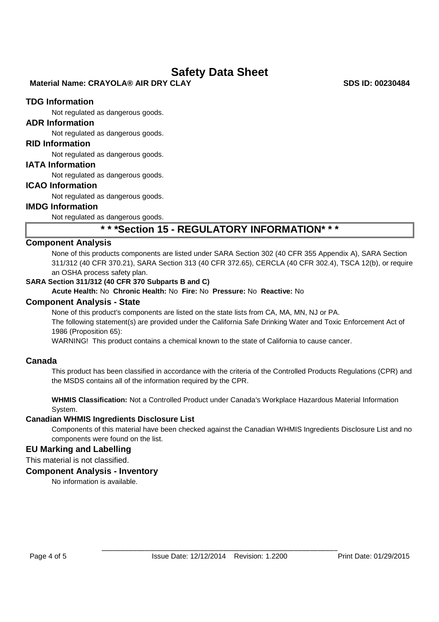#### **Material Name: CRAYOLA® AIR DRY CLAY SDS ID: 00230484 SDS ID: 00230484**

#### **TDG Information**

Not regulated as dangerous goods.

#### **ADR Information**

Not regulated as dangerous goods.

#### **RID Information**

Not regulated as dangerous goods.

#### **IATA Information**

Not regulated as dangerous goods.

#### **ICAO Information**

Not regulated as dangerous goods.

### **IMDG Information**

Not regulated as dangerous goods.

### **\* \* \*Section 15 - REGULATORY INFORMATION\* \* \***

#### **Component Analysis**

None of this products components are listed under SARA Section 302 (40 CFR 355 Appendix A), SARA Section 311/312 (40 CFR 370.21), SARA Section 313 (40 CFR 372.65), CERCLA (40 CFR 302.4), TSCA 12(b), or require an OSHA process safety plan.

#### **SARA Section 311/312 (40 CFR 370 Subparts B and C)**

**Acute Health:** No **Chronic Health:** No **Fire:** No **Pressure:** No **Reactive:** No

#### **Component Analysis - State**

None of this product's components are listed on the state lists from CA, MA, MN, NJ or PA. The following statement(s) are provided under the California Safe Drinking Water and Toxic Enforcement Act of 1986 (Proposition 65):

WARNING! This product contains a chemical known to the state of California to cause cancer.

#### **Canada**

This product has been classified in accordance with the criteria of the Controlled Products Regulations (CPR) and the MSDS contains all of the information required by the CPR.

**WHMIS Classification:** Not a Controlled Product under Canada's Workplace Hazardous Material Information System.

#### **Canadian WHMIS Ingredients Disclosure List**

Components of this material have been checked against the Canadian WHMIS Ingredients Disclosure List and no components were found on the list.

#### **EU Marking and Labelling**

This material is not classified.

#### **Component Analysis - Inventory**

No information is available.